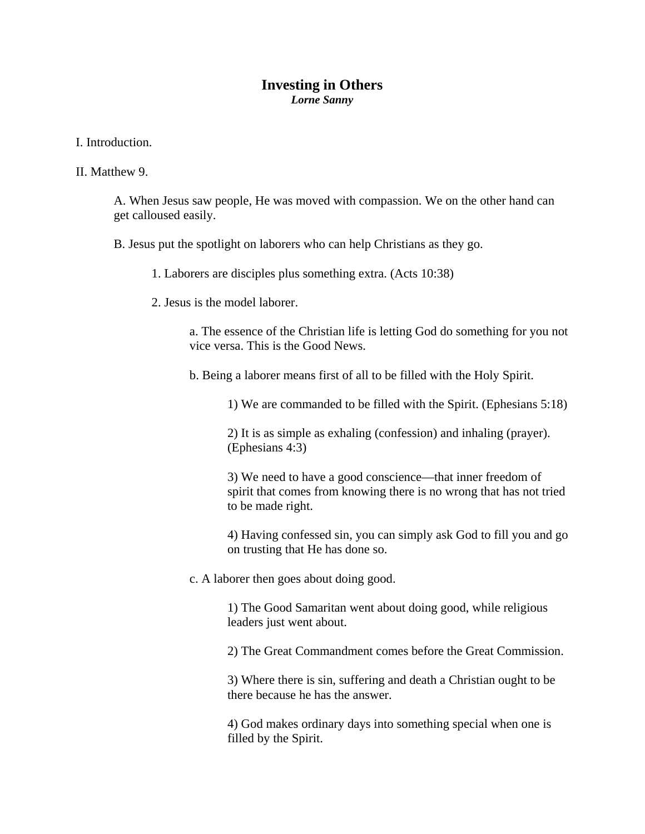## **Investing in Others**  *Lorne Sanny*

I. Introduction.

## II. Matthew 9.

A. When Jesus saw people, He was moved with compassion. We on the other hand can get calloused easily.

B. Jesus put the spotlight on laborers who can help Christians as they go.

1. Laborers are disciples plus something extra. (Acts 10:38)

2. Jesus is the model laborer.

a. The essence of the Christian life is letting God do something for you not vice versa. This is the Good News.

b. Being a laborer means first of all to be filled with the Holy Spirit.

1) We are commanded to be filled with the Spirit. (Ephesians 5:18)

2) It is as simple as exhaling (confession) and inhaling (prayer). (Ephesians 4:3)

3) We need to have a good conscience—that inner freedom of spirit that comes from knowing there is no wrong that has not tried to be made right.

4) Having confessed sin, you can simply ask God to fill you and go on trusting that He has done so.

c. A laborer then goes about doing good.

1) The Good Samaritan went about doing good, while religious leaders just went about.

2) The Great Commandment comes before the Great Commission.

3) Where there is sin, suffering and death a Christian ought to be there because he has the answer.

4) God makes ordinary days into something special when one is filled by the Spirit.